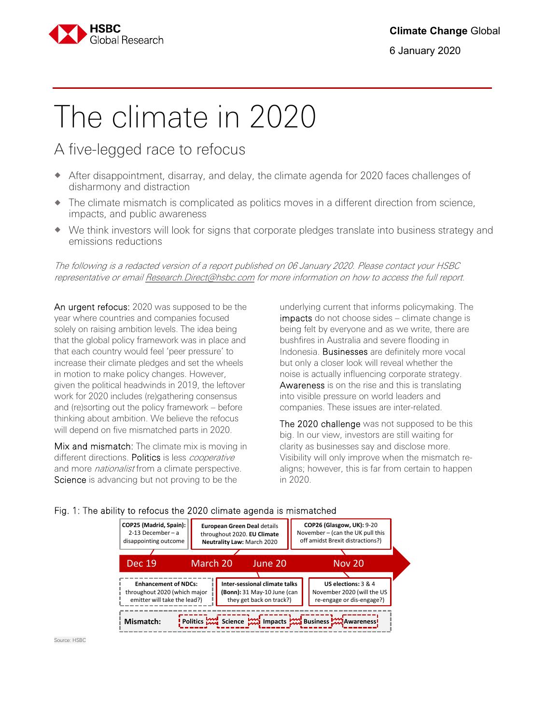

6 January 2020

# The climate in 2020

### A five-legged race to refocus

- After disappointment, disarray, and delay, the climate agenda for 2020 faces challenges of disharmony and distraction
- The climate mismatch is complicated as politics moves in a different direction from science, impacts, and public awareness
- We think investors will look for signs that corporate pledges translate into business strategy and emissions reductions

The following is a redacted version of a report published on 06 January 2020. Please contact your HSBC representative or email Research.Direct@hsbc.com for more information on how to access the full report.

An urgent refocus: 2020 was supposed to be the year where countries and companies focused solely on raising ambition levels. The idea being that the global policy framework was in place and that each country would feel 'peer pressure' to increase their climate pledges and set the wheels in motion to make policy changes. However, given the political headwinds in 2019, the leftover work for 2020 includes (re)gathering consensus and (re)sorting out the policy framework – before thinking about ambition. We believe the refocus will depend on five mismatched parts in 2020.

Mix and mismatch: The climate mix is moving in different directions. Politics is less *cooperative* and more *nationalist* from a climate perspective. Science is advancing but not proving to be the

underlying current that informs policymaking. The **impacts** do not choose sides – climate change is being felt by everyone and as we write, there are bushfires in Australia and severe flooding in Indonesia. Businesses are definitely more vocal but only a closer look will reveal whether the noise is actually influencing corporate strategy. Awareness is on the rise and this is translating into visible pressure on world leaders and companies. These issues are inter-related.

The 2020 challenge was not supposed to be this big. In our view, investors are still waiting for clarity as businesses say and disclose more. Visibility will only improve when the mismatch realigns; however, this is far from certain to happen in 2020.



#### Fig. 1: The ability to refocus the 2020 climate agenda is mismatched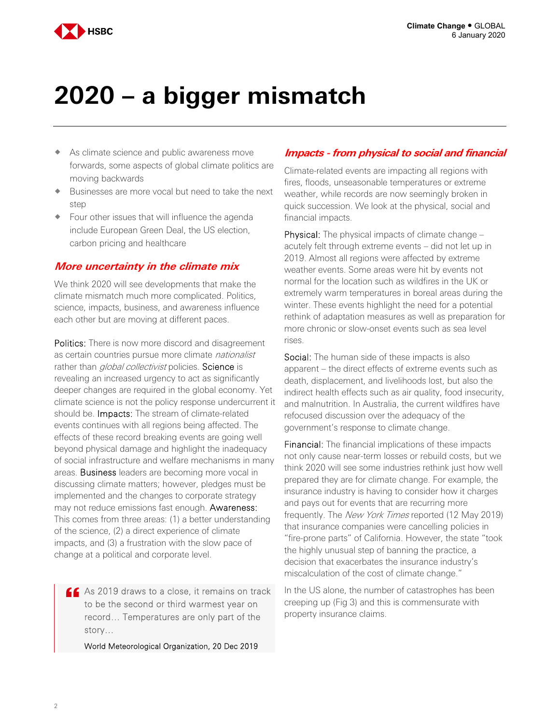

### **2020 – a bigger mismatch**

- As climate science and public awareness move forwards, some aspects of global climate politics are moving backwards
- Businesses are more vocal but need to take the next step
- ◆ Four other issues that will influence the agenda include European Green Deal, the US election, carbon pricing and healthcare

#### **More uncertainty in the climate mix**

We think 2020 will see developments that make the climate mismatch much more complicated. Politics, science, impacts, business, and awareness influence each other but are moving at different paces.

Politics: There is now more discord and disagreement as certain countries pursue more climate nationalist rather than *global collectivist* policies. Science is revealing an increased urgency to act as significantly deeper changes are required in the global economy. Yet climate science is not the policy response undercurrent it should be. Impacts: The stream of climate-related events continues with all regions being affected. The effects of these record breaking events are going well beyond physical damage and highlight the inadequacy of social infrastructure and welfare mechanisms in many areas. Business leaders are becoming more vocal in discussing climate matters; however, pledges must be implemented and the changes to corporate strategy may not reduce emissions fast enough. Awareness: This comes from three areas: (1) a better understanding of the science, (2) a direct experience of climate impacts, and (3) a frustration with the slow pace of change at a political and corporate level.

 As 2019 draws to a close, it remains on track to be the second or third warmest year on record… Temperatures are only part of the story…

World Meteorological Organization, 20 Dec 2019

#### **Impacts - from physical to social and financial**

Climate-related events are impacting all regions with fires, floods, unseasonable temperatures or extreme weather, while records are now seemingly broken in quick succession. We look at the physical, social and financial impacts.

**Physical:** The physical impacts of climate change – acutely felt through extreme events – did not let up in 2019. Almost all regions were affected by extreme weather events. Some areas were hit by events not normal for the location such as wildfires in the UK or extremely warm temperatures in boreal areas during the winter. These events highlight the need for a potential rethink of adaptation measures as well as preparation for more chronic or slow-onset events such as sea level rises.

Social: The human side of these impacts is also apparent – the direct effects of extreme events such as death, displacement, and livelihoods lost, but also the indirect health effects such as air quality, food insecurity, and malnutrition. In Australia, the current wildfires have refocused discussion over the adequacy of the government's response to climate change.

Financial: The financial implications of these impacts not only cause near-term losses or rebuild costs, but we think 2020 will see some industries rethink just how well prepared they are for climate change. For example, the insurance industry is having to consider how it charges and pays out for events that are recurring more frequently. The New York Times reported (12 May 2019) that insurance companies were cancelling policies in "fire-prone parts" of California. However, the state "took the highly unusual step of banning the practice, a decision that exacerbates the insurance industry's miscalculation of the cost of climate change."

In the US alone, the number of catastrophes has been creeping up (Fig 3) and this is commensurate with property insurance claims.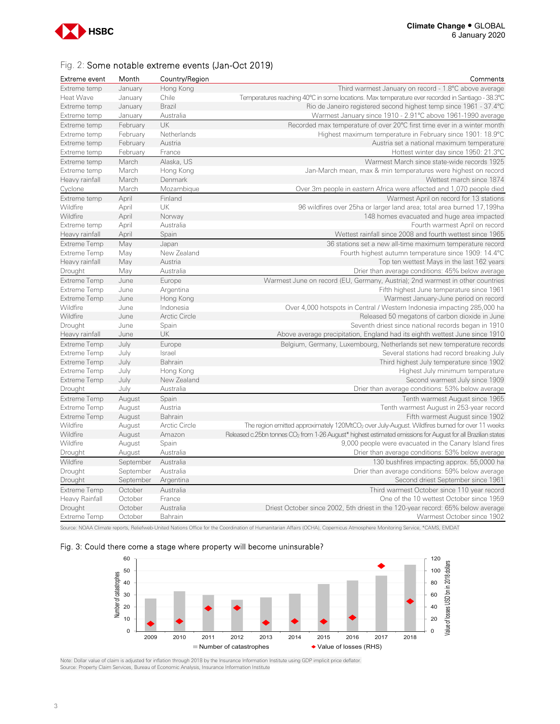

#### Fig. 2: Some notable extreme events (Jan-Oct 2019)

| Extreme event       | Month     | Country/Region | Comments                                                                                                                 |
|---------------------|-----------|----------------|--------------------------------------------------------------------------------------------------------------------------|
| Extreme temp        | January   | Hong Kong      | Third warmest January on record - 1.8°C above average                                                                    |
| Heat Wave           | January   | Chile          | Temperatures reaching 40°C in some locations. Max temperature ever recorded in Santiago - 38.3°C                         |
| Extreme temp        | January   | <b>Brazil</b>  | Rio de Janeiro registered second highest temp since 1961 - 37.4°C                                                        |
| Extreme temp        | January   | Australia      | Warmest January since 1910 - 2.91°C above 1961-1990 average                                                              |
| Extreme temp        | February  | UK             | Recorded max temperature of over 20°C first time ever in a winter month                                                  |
| Extreme temp        | February  | Netherlands    | Highest maximum temperature in February since 1901: 18.9°C                                                               |
| Extreme temp        | February  | Austria        | Austria set a national maximum temperature                                                                               |
| Extreme temp        | February  | France         | Hottest winter day since 1950: 21.3°C                                                                                    |
| Extreme temp        | March     | Alaska, US     | Warmest March since state-wide records 1925                                                                              |
| Extreme temp        | March     | Hong Kong      | Jan-March mean, max & min temperatures were highest on record                                                            |
| Heavy rainfall      | March     | Denmark        | Wettest march since 1874                                                                                                 |
| Cyclone             | March     | Mozambique     | Over 3m people in eastern Africa were affected and 1,070 people died                                                     |
| Extreme temp        | April     | Finland        | Warmest April on record for 13 stations                                                                                  |
| Wildfire            | April     | UK             | 96 wildfires over 25ha or larger land area; total area burned 17,199ha                                                   |
| Wildfire            | April     | Norway         | 148 homes evacuated and huge area impacted                                                                               |
| Extreme temp        | April     | Australia      | Fourth warmest April on record                                                                                           |
| Heavy rainfall      | April     | Spain          | Wettest rainfall since 2008 and fourth wettest since 1965                                                                |
| <b>Extreme Temp</b> | May       | Japan          | 36 stations set a new all-time maximum temperature record                                                                |
| <b>Extreme Temp</b> | May       | New Zealand    | Fourth highest autumn temperature since 1909: 14.4°C                                                                     |
| Heavy rainfall      | May       | Austria        | Top ten wettest Mays in the last 162 years                                                                               |
| Drought             | May       | Australia      | Drier than average conditions: 45% below average                                                                         |
| <b>Extreme Temp</b> | June      | Europe         | Warmest June on record (EU, Germany, Austria); 2nd warmest in other countries                                            |
| <b>Extreme Temp</b> | June      | Argentina      | Fifth highest June temperature since 1961                                                                                |
| <b>Extreme Temp</b> | June      | Hong Kong      | Warmest January-June period on record                                                                                    |
| Wildfire            | June      | Indonesia      | Over 4,000 hotspots in Central / Western Indonesia impacting 285,000 ha                                                  |
| Wildfire            | June      | Arctic Circle  | Released 50 megatons of carbon dioxide in June                                                                           |
| Drought             | June      | Spain          | Seventh driest since national records began in 1910                                                                      |
| Heavy rainfall      | June      | <b>UK</b>      | Above average precipitation, England had its eighth wettest June since 1910                                              |
| <b>Extreme Temp</b> | July      | Europe         | Belgium, Germany, Luxembourg, Netherlands set new temperature records                                                    |
| Extreme Temp        | July      | Israel         | Several stations had record breaking July                                                                                |
| <b>Extreme Temp</b> | July      | Bahrain        | Third highest July temperature since 1902                                                                                |
| <b>Extreme Temp</b> | July      | Hong Kong      | Highest July minimum temperature                                                                                         |
| <b>Extreme Temp</b> | July      | New Zealand    | Second warmest July since 1909                                                                                           |
| Drought             | July      | Australia      | Drier than average conditions: 53% below average                                                                         |
| <b>Extreme Temp</b> | August    | Spain          | Tenth warmest August since 1965                                                                                          |
| <b>Extreme Temp</b> | August    | Austria        | Tenth warmest August in 253-year record                                                                                  |
| <b>Extreme Temp</b> | August    | Bahrain        | Fifth warmest August since 1902                                                                                          |
| Wildfire            | August    | Arctic Circle  | The region emitted approximately 120MtCO <sub>2</sub> over July-August. Wildfires burned for over 11 weeks               |
| Wildfire            | August    | Amazon         | Released c.25bn tonnes CO <sub>2</sub> from 1-26 August* highest estimated emissions for August for all Brazilian states |
| Wildfire            | August    | Spain          | 9,000 people were evacuated in the Canary Island fires                                                                   |
| Drought             | August    | Australia      | Drier than average conditions: 53% below average                                                                         |
| Wildfire            | September | Australia      | 130 bushfires impacting approx. 55,0000 ha                                                                               |
| Drought             | September | Australia      | Drier than average conditions: 59% below average                                                                         |
| Drought             | September | Argentina      | Second driest September since 1961                                                                                       |
| <b>Extreme Temp</b> | October   | Australia      | Third warmest October since 110 year record                                                                              |
| Heavy Rainfall      | October   | France         | One of the 10 wettest October since 1959                                                                                 |
| Drought             | October   | Australia      | Driest October since 2002, 5th driest in the 120-year record: 65% below average                                          |
| <b>Extreme Temp</b> | October   | Bahrain        | Warmest October since 1902                                                                                               |

Source: NOAA Climate reports, Reliefweb-United Nations Office for the Coordination of Humanitarian Affairs (OCHA), Copernicus Atmosphere Monitoring Service, \*CAMS, EMDAT

#### Fig. 3: Could there come a stage where property will become uninsurable?



Note: Dollar value of claim is adjusted for inflation through 2018 by the Insurance Information Institute using GDP implicit price deflator.<br>Source: Property Claim Services, Bureau of Economic Analysis, Insurance Informati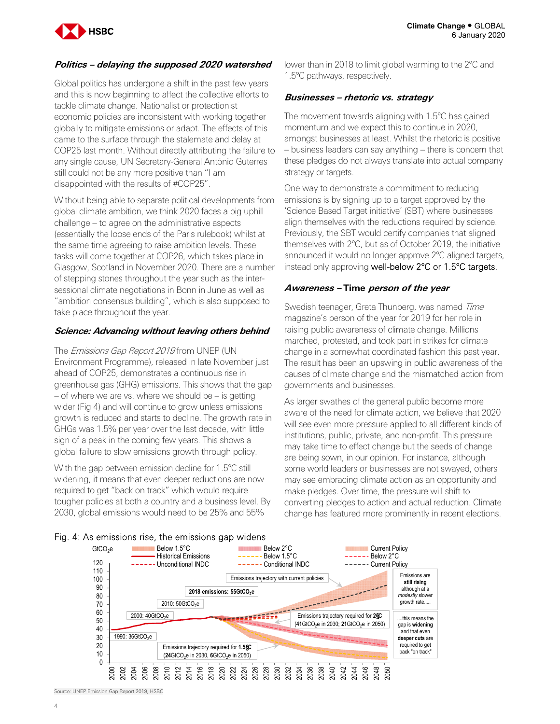

#### **Politics – delaying the supposed 2020 watershed**

Global politics has undergone a shift in the past few years and this is now beginning to affect the collective efforts to tackle climate change. Nationalist or protectionist economic policies are inconsistent with working together globally to mitigate emissions or adapt. The effects of this came to the surface through the stalemate and delay at COP25 last month. Without directly attributing the failure to any single cause, UN Secretary-General António Guterres still could not be any more positive than "I am disappointed with the results of #COP25".

Without being able to separate political developments from global climate ambition, we think 2020 faces a big uphill challenge – to agree on the administrative aspects (essentially the loose ends of the Paris rulebook) whilst at the same time agreeing to raise ambition levels. These tasks will come together at COP26, which takes place in Glasgow, Scotland in November 2020. There are a number of stepping stones throughout the year such as the intersessional climate negotiations in Bonn in June as well as "ambition consensus building", which is also supposed to take place throughout the year.

#### **Science: Advancing without leaving others behind**

The *Emissions Gap Report 2019* from UNEP (UN Environment Programme), released in late November just ahead of COP25, demonstrates a continuous rise in greenhouse gas (GHG) emissions. This shows that the gap  $-$  of where we are vs. where we should be  $-$  is getting wider (Fig 4) and will continue to grow unless emissions growth is reduced and starts to decline. The growth rate in GHGs was 1.5% per year over the last decade, with little sign of a peak in the coming few years. This shows a global failure to slow emissions growth through policy.

With the gap between emission decline for 1.5°C still widening, it means that even deeper reductions are now required to get "back on track" which would require tougher policies at both a country and a business level. By 2030, global emissions would need to be 25% and 55%

lower than in 2018 to limit global warming to the 2°C and 1.5°C pathways, respectively.

#### **Businesses – rhetoric vs. strategy**

The movement towards aligning with 1.5°C has gained momentum and we expect this to continue in 2020, amongst businesses at least. Whilst the rhetoric is positive – business leaders can say anything – there is concern that these pledges do not always translate into actual company strategy or targets.

One way to demonstrate a commitment to reducing emissions is by signing up to a target approved by the 'Science Based Target initiative' (SBT) where businesses align themselves with the reductions required by science. Previously, the SBT would certify companies that aligned themselves with 2°C, but as of October 2019, the initiative announced it would no longer approve 2°C aligned targets, instead only approving well-below 2°C or 1.5°C targets.

#### **Awareness – Time person of the year**

Swedish teenager, Greta Thunberg, was named Time magazine's person of the year for 2019 for her role in raising public awareness of climate change. Millions marched, protested, and took part in strikes for climate change in a somewhat coordinated fashion this past year. The result has been an upswing in public awareness of the causes of climate change and the mismatched action from governments and businesses.

As larger swathes of the general public become more aware of the need for climate action, we believe that 2020 will see even more pressure applied to all different kinds of institutions, public, private, and non-profit. This pressure may take time to effect change but the seeds of change are being sown, in our opinion. For instance, although some world leaders or businesses are not swayed, others may see embracing climate action as an opportunity and make pledges. Over time, the pressure will shift to converting pledges to action and actual reduction. Climate change has featured more prominently in recent elections.

#### Fig. 4: As emissions rise, the emissions gap widens

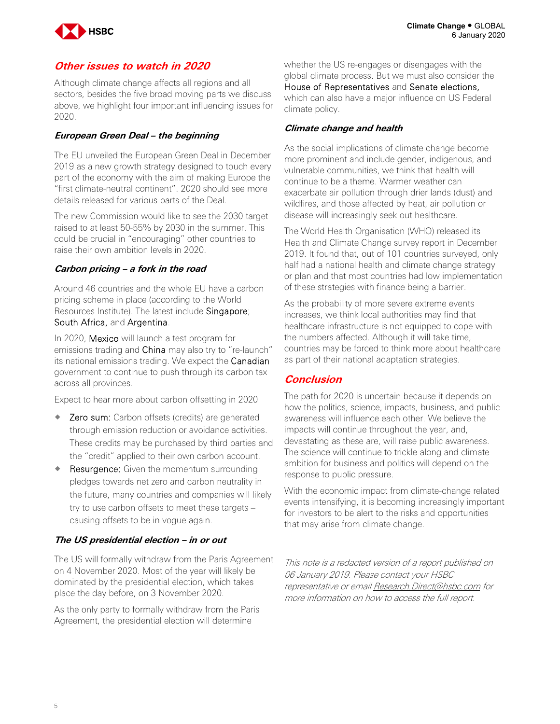

#### **Other issues to watch in 2020**

Although climate change affects all regions and all sectors, besides the five broad moving parts we discuss above, we highlight four important influencing issues for 2020.

#### **European Green Deal – the beginning**

The EU unveiled the European Green Deal in December 2019 as a new growth strategy designed to touch every part of the economy with the aim of making Europe the "first climate-neutral continent". 2020 should see more details released for various parts of the Deal.

The new Commission would like to see the 2030 target raised to at least 50-55% by 2030 in the summer. This could be crucial in "encouraging" other countries to raise their own ambition levels in 2020.

#### **Carbon pricing – a fork in the road**

Around 46 countries and the whole EU have a carbon pricing scheme in place (according to the World Resources Institute). The latest include Singapore; South Africa, and Argentina.

In 2020, Mexico will launch a test program for emissions trading and China may also try to "re-launch" its national emissions trading. We expect the Canadian government to continue to push through its carbon tax across all provinces.

Expect to hear more about carbon offsetting in 2020

- ◆ Zero sum: Carbon offsets (credits) are generated through emission reduction or avoidance activities. These credits may be purchased by third parties and the "credit" applied to their own carbon account.
- **Resurgence:** Given the momentum surrounding pledges towards net zero and carbon neutrality in the future, many countries and companies will likely try to use carbon offsets to meet these targets – causing offsets to be in vogue again.

#### **The US presidential election – in or out**

The US will formally withdraw from the Paris Agreement on 4 November 2020. Most of the year will likely be dominated by the presidential election, which takes place the day before, on 3 November 2020.

As the only party to formally withdraw from the Paris Agreement, the presidential election will determine

whether the US re-engages or disengages with the global climate process. But we must also consider the House of Representatives and Senate elections, which can also have a major influence on US Federal climate policy.

#### **Climate change and health**

As the social implications of climate change become more prominent and include gender, indigenous, and vulnerable communities, we think that health will continue to be a theme. Warmer weather can exacerbate air pollution through drier lands (dust) and wildfires, and those affected by heat, air pollution or disease will increasingly seek out healthcare.

The World Health Organisation (WHO) released its Health and Climate Change survey report in December 2019. It found that, out of 101 countries surveyed, only half had a national health and climate change strategy or plan and that most countries had low implementation of these strategies with finance being a barrier.

As the probability of more severe extreme events increases, we think local authorities may find that healthcare infrastructure is not equipped to cope with the numbers affected. Although it will take time, countries may be forced to think more about healthcare as part of their national adaptation strategies.

#### **Conclusion**

The path for 2020 is uncertain because it depends on how the politics, science, impacts, business, and public awareness will influence each other. We believe the impacts will continue throughout the year, and, devastating as these are, will raise public awareness. The science will continue to trickle along and climate ambition for business and politics will depend on the response to public pressure.

With the economic impact from climate-change related events intensifying, it is becoming increasingly important for investors to be alert to the risks and opportunities that may arise from climate change.

This note is a redacted version of a report published on 06 January 2019. Please contact your HSBC representative or email Research.Direct@hsbc.com for more information on how to access the full report.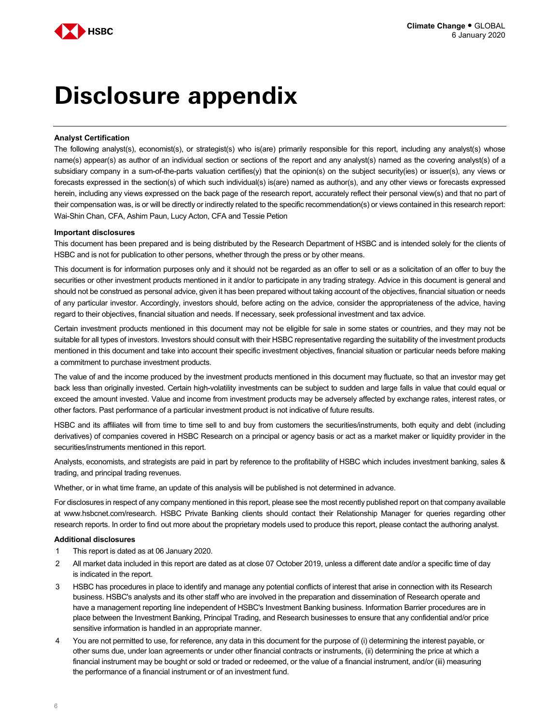## **Disclosure appendix**

#### **Analyst Certification**

The following analyst(s), economist(s), or strategist(s) who is(are) primarily responsible for this report, including any analyst(s) whose name(s) appear(s) as author of an individual section or sections of the report and any analyst(s) named as the covering analyst(s) of a subsidiary company in a sum-of-the-parts valuation certifies(y) that the opinion(s) on the subject security(ies) or issuer(s), any views or forecasts expressed in the section(s) of which such individual(s) is(are) named as author(s), and any other views or forecasts expressed herein, including any views expressed on the back page of the research report, accurately reflect their personal view(s) and that no part of their compensation was, is or will be directly or indirectly related to the specific recommendation(s) or views contained in this research report: Wai-Shin Chan, CFA, Ashim Paun, Lucy Acton, CFA and Tessie Petion

#### **Important disclosures**

This document has been prepared and is being distributed by the Research Department of HSBC and is intended solely for the clients of HSBC and is not for publication to other persons, whether through the press or by other means.

This document is for information purposes only and it should not be regarded as an offer to sell or as a solicitation of an offer to buy the securities or other investment products mentioned in it and/or to participate in any trading strategy. Advice in this document is general and should not be construed as personal advice, given it has been prepared without taking account of the objectives, financial situation or needs of any particular investor. Accordingly, investors should, before acting on the advice, consider the appropriateness of the advice, having regard to their objectives, financial situation and needs. If necessary, seek professional investment and tax advice.

Certain investment products mentioned in this document may not be eligible for sale in some states or countries, and they may not be suitable for all types of investors. Investors should consult with their HSBC representative regarding the suitability of the investment products mentioned in this document and take into account their specific investment objectives, financial situation or particular needs before making a commitment to purchase investment products.

The value of and the income produced by the investment products mentioned in this document may fluctuate, so that an investor may get back less than originally invested. Certain high-volatility investments can be subject to sudden and large falls in value that could equal or exceed the amount invested. Value and income from investment products may be adversely affected by exchange rates, interest rates, or other factors. Past performance of a particular investment product is not indicative of future results.

HSBC and its affiliates will from time to time sell to and buy from customers the securities/instruments, both equity and debt (including derivatives) of companies covered in HSBC Research on a principal or agency basis or act as a market maker or liquidity provider in the securities/instruments mentioned in this report.

Analysts, economists, and strategists are paid in part by reference to the profitability of HSBC which includes investment banking, sales & trading, and principal trading revenues.

Whether, or in what time frame, an update of this analysis will be published is not determined in advance.

For disclosures in respect of any company mentioned in this report, please see the most recently published report on that company available at www.hsbcnet.com/research. HSBC Private Banking clients should contact their Relationship Manager for queries regarding other research reports. In order to find out more about the proprietary models used to produce this report, please contact the authoring analyst.

#### **Additional disclosures**

- 1 This report is dated as at 06 January 2020.
- 2 All market data included in this report are dated as at close 07 October 2019, unless a different date and/or a specific time of day is indicated in the report.
- 3 HSBC has procedures in place to identify and manage any potential conflicts of interest that arise in connection with its Research business. HSBC's analysts and its other staff who are involved in the preparation and dissemination of Research operate and have a management reporting line independent of HSBC's Investment Banking business. Information Barrier procedures are in place between the Investment Banking, Principal Trading, and Research businesses to ensure that any confidential and/or price sensitive information is handled in an appropriate manner.
- 4 You are not permitted to use, for reference, any data in this document for the purpose of (i) determining the interest payable, or other sums due, under loan agreements or under other financial contracts or instruments, (ii) determining the price at which a financial instrument may be bought or sold or traded or redeemed, or the value of a financial instrument, and/or (iii) measuring the performance of a financial instrument or of an investment fund.